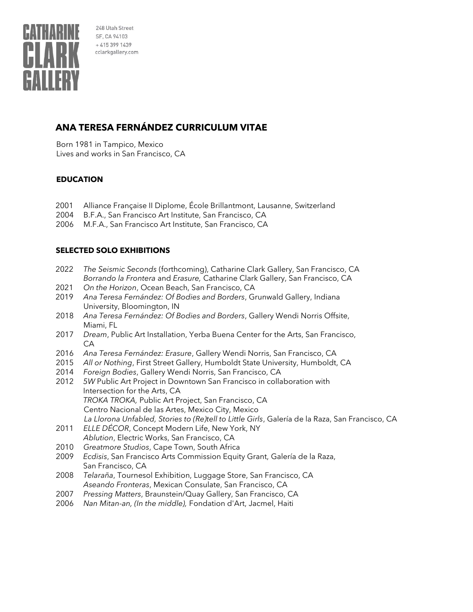

# **ANA TERESA FERNÁNDEZ CURRICULUM VITAE**

Born 1981 in Tampico, Mexico Lives and works in San Francisco, CA

### **EDUCATION**

- 2001 Alliance Française II Diplome, École Brillantmont, Lausanne, Switzerland
- 2004 B.F.A., San Francisco Art Institute, San Francisco, CA
- 2006 M.F.A., San Francisco Art Institute, San Francisco, CA

# **SELECTED SOLO EXHIBITIONS**

- 2022 *The Seismic Seconds* (forthcoming), Catharine Clark Gallery, San Francisco, CA *Borrando la Frontera* and *Erasure,* Catharine Clark Gallery, San Francisco, CA
- 2021 *On the Horizon*, Ocean Beach, San Francisco, CA
- 2019 *Ana Teresa Fernández: Of Bodies and Borders*, Grunwald Gallery, Indiana University, Bloomington, IN
- 2018 *Ana Teresa Fernández: Of Bodies and Borders*, Gallery Wendi Norris Offsite, Miami, FL
- 2017 *Dream*, Public Art Installation, Yerba Buena Center for the Arts, San Francisco, CA
- 2016 *Ana Teresa Fernández: Erasure*, Gallery Wendi Norris, San Francisco, CA
- 2015 *All or Nothing*, First Street Gallery, Humboldt State University, Humboldt, CA
- 2014 *Foreign Bodies*, Gallery Wendi Norris, San Francisco, CA
- 2012 *5W* Public Art Project in Downtown San Francisco in collaboration with Intersection for the Arts, CA *TROKA TROKA,* Public Art Project, San Francisco, CA Centro Nacional de las Artes, Mexico City, Mexico *La Llorona Unfabled, Stories to (Re)tell to Little Girls*, Galería de la Raza, San Francisco, CA
- 2011 *ELLE DÉCOR*, Concept Modern Life, New York, NY *Ablution*, Electric Works, San Francisco, CA
- 2010 *Greatmore Studios*, Cape Town, South Africa
- 2009 *Ecdisis*, San Francisco Arts Commission Equity Grant, Galería de la Raza, San Francisco, CA
- 2008 *Telaraña*, Tournesol Exhibition, Luggage Store, San Francisco, CA *Aseando Fronteras*, Mexican Consulate, San Francisco, CA
- 2007 *Pressing Matters*, Braunstein/Quay Gallery, San Francisco, CA
- 2006 *Nan Mitan-an, (In the middle),* Fondation d'Art, Jacmel, Haiti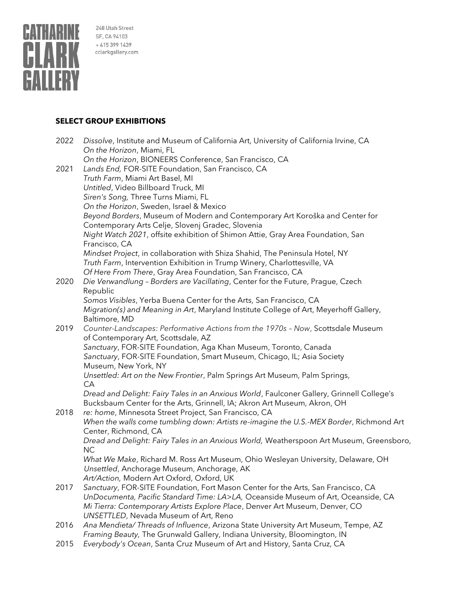

#### **SELECT GROUP EXHIBITIONS**

| 2022 | Dissolve, Institute and Museum of California Art, University of California Irvine, CA<br>On the Horizon, Miami, FL |
|------|--------------------------------------------------------------------------------------------------------------------|
|      | On the Horizon, BIONEERS Conference, San Francisco, CA                                                             |
| 2021 | Lands End, FOR-SITE Foundation, San Francisco, CA                                                                  |
|      | Truth Farm, Miami Art Basel, MI                                                                                    |
|      | Untitled, Video Billboard Truck, MI                                                                                |
|      | Siren's Song, Three Turns Miami, FL                                                                                |
|      | On the Horizon, Sweden, Israel & Mexico                                                                            |
|      | Beyond Borders, Museum of Modern and Contemporary Art Koroška and Center for                                       |
|      | Contemporary Arts Celje, Slovenj Gradec, Slovenia                                                                  |
|      | Night Watch 2021, offsite exhibition of Shimon Attie, Gray Area Foundation, San                                    |
|      | Francisco, CA                                                                                                      |
|      | Mindset Project, in collaboration with Shiza Shahid, The Peninsula Hotel, NY                                       |
|      | Truth Farm, Intervention Exhibition in Trump Winery, Charlottesville, VA                                           |
|      | Of Here From There, Gray Area Foundation, San Francisco, CA                                                        |
| 2020 | Die Verwandlung - Borders are Vacillating, Center for the Future, Prague, Czech                                    |
|      | Republic                                                                                                           |
|      | Somos Visibles, Yerba Buena Center for the Arts, San Francisco, CA                                                 |
|      | Migration(s) and Meaning in Art, Maryland Institute College of Art, Meyerhoff Gallery,                             |
|      | Baltimore, MD                                                                                                      |
| 2019 | Counter-Landscapes: Performative Actions from the 1970s - Now, Scottsdale Museum                                   |
|      | of Contemporary Art, Scottsdale, AZ                                                                                |
|      | Sanctuary, FOR-SITE Foundation, Aga Khan Museum, Toronto, Canada                                                   |
|      | Sanctuary, FOR-SITE Foundation, Smart Museum, Chicago, IL; Asia Society                                            |
|      | Museum, New York, NY                                                                                               |
|      | Unsettled: Art on the New Frontier, Palm Springs Art Museum, Palm Springs,                                         |
|      | CA                                                                                                                 |
|      | Dread and Delight: Fairy Tales in an Anxious World, Faulconer Gallery, Grinnell College's                          |
|      | Bucksbaum Center for the Arts, Grinnell, IA; Akron Art Museum, Akron, OH                                           |
| 2018 | re: home, Minnesota Street Project, San Francisco, CA                                                              |
|      | When the walls come tumbling down: Artists re-imagine the U.S.-MEX Border, Richmond Art                            |
|      | Center, Richmond, CA                                                                                               |
|      | Dread and Delight: Fairy Tales in an Anxious World, Weatherspoon Art Museum, Greensboro,                           |
|      | <b>NC</b>                                                                                                          |
|      | What We Make, Richard M. Ross Art Museum, Ohio Wesleyan University, Delaware, OH                                   |
|      | Unsettled, Anchorage Museum, Anchorage, AK                                                                         |
|      | Art/Action, Modern Art Oxford, Oxford, UK                                                                          |
| 2017 | Sanctuary, FOR-SITE Foundation, Fort Mason Center for the Arts, San Francisco, CA                                  |
|      | UnDocumenta, Pacific Standard Time: LA>LA, Oceanside Museum of Art, Oceanside, CA                                  |
|      | Mi Tierra: Contemporary Artists Explore Place, Denver Art Museum, Denver, CO                                       |
|      | UNSETTLED, Nevada Museum of Art, Reno                                                                              |
| 2016 | Ana Mendieta/Threads of Influence, Arizona State University Art Museum, Tempe, AZ                                  |
|      | Framing Beauty, The Grunwald Gallery, Indiana University, Bloomington, IN                                          |
| 2015 | Everybody's Ocean, Santa Cruz Museum of Art and History, Santa Cruz, CA                                            |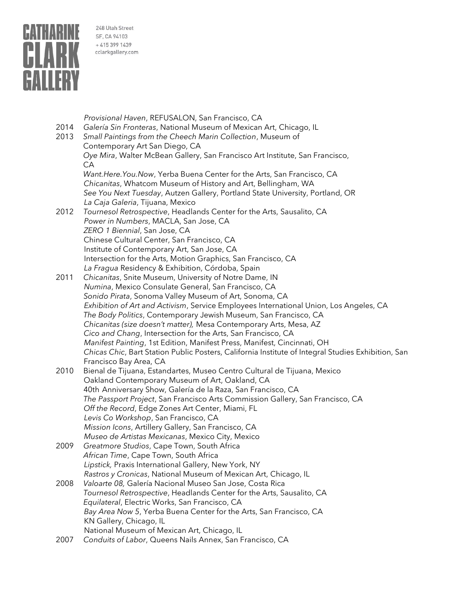

*Provisional Haven*, REFUSALON, San Francisco, CA 2014 *Galería Sin Fronteras*, National Museum of Mexican Art, Chicago, IL

- 2013 *Small Paintings from the Cheech Marin Collection*, Museum of Contemporary Art San Diego, CA *Oye Mira*, Walter McBean Gallery, San Francisco Art Institute, San Francisco, CA *Want.Here.You.Now*, Yerba Buena Center for the Arts, San Francisco, CA *Chicanitas*, Whatcom Museum of History and Art, Bellingham, WA *See You Next Tuesday*, Autzen Gallery, Portland State University, Portland, OR *La Caja Galeria*, Tijuana, Mexico 2012 *Tournesol Retrospective*, Headlands Center for the Arts, Sausalito, CA *Power in Numbers*, MACLA, San Jose, CA *ZERO 1 Biennial*, San Jose, CA Chinese Cultural Center, San Francisco, CA Institute of Contemporary Art, San Jose, CA Intersection for the Arts, Motion Graphics, San Francisco, CA *La Fragua* Residency & Exhibition, Córdoba, Spain 2011 *Chicanitas*, Snite Museum, University of Notre Dame, IN
- *Numina*, Mexico Consulate General, San Francisco, CA *Sonido Pirata*, Sonoma Valley Museum of Art, Sonoma, CA *Exhibition of Art and Activism*, Service Employees International Union, Los Angeles, CA *The Body Politics*, Contemporary Jewish Museum, San Francisco, CA *Chicanitas (size doesn't matter),* Mesa Contemporary Arts, Mesa, AZ *Cico and Chang*, Intersection for the Arts, San Francisco, CA *Manifest Painting*, 1st Edition, Manifest Press, Manifest, Cincinnati, OH *Chicas Chic*, Bart Station Public Posters, California Institute of Integral Studies Exhibition, San Francisco Bay Area, CA
- 2010 Bienal de Tijuana, Estandartes, Museo Centro Cultural de Tijuana, Mexico Oakland Contemporary Museum of Art, Oakland, CA 40th Anniversary Show, Galería de la Raza, San Francisco, CA *The Passport Project*, San Francisco Arts Commission Gallery, San Francisco, CA *Off the Record*, Edge Zones Art Center, Miami, FL *Levis Co Workshop*, San Francisco, CA *Mission Icons*, Artillery Gallery, San Francisco, CA
- *Museo de Artistas Mexicanas*, Mexico City, Mexico 2009 *Greatmore Studios*, Cape Town, South Africa
- *African Time*, Cape Town, South Africa *Lipstick,* Praxis International Gallery, New York, NY *Rastros y Cronicas*, National Museum of Mexican Art, Chicago, IL
- 2008 *Valoarte 08,* Galería Nacional Museo San Jose, Costa Rica *Tournesol Retrospective*, Headlands Center for the Arts, Sausalito, CA *Equilateral*, Electric Works, San Francisco, CA *Bay Area Now 5*, Yerba Buena Center for the Arts, San Francisco, CA KN Gallery, Chicago, IL National Museum of Mexican Art, Chicago, IL
- 2007 *Conduits of Labor*, Queens Nails Annex, San Francisco, CA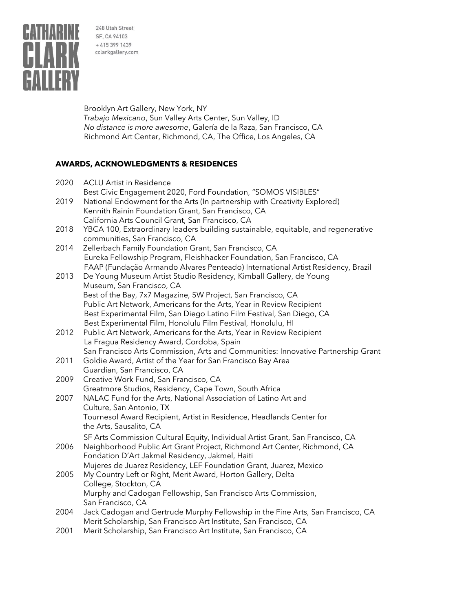

Brooklyn Art Gallery, New York, NY *Trabajo Mexicano*, Sun Valley Arts Center, Sun Valley, ID *No distance is more awesome*, Galería de la Raza, San Francisco, CA Richmond Art Center, Richmond, CA, The Office, Los Angeles, CA

# **AWARDS, ACKNOWLEDGMENTS & RESIDENCES**

| 2020 | <b>ACLU Artist in Residence</b>                                                   |
|------|-----------------------------------------------------------------------------------|
|      | Best Civic Engagement 2020, Ford Foundation, "SOMOS VISIBLES"                     |
| 2019 | National Endowment for the Arts (In partnership with Creativity Explored)         |
|      | Kennith Rainin Foundation Grant, San Francisco, CA                                |
|      | California Arts Council Grant, San Francisco, CA                                  |
| 2018 | YBCA 100, Extraordinary leaders building sustainable, equitable, and regenerative |
|      | communities, San Francisco, CA                                                    |
| 2014 | Zellerbach Family Foundation Grant, San Francisco, CA                             |
|      | Eureka Fellowship Program, Fleishhacker Foundation, San Francisco, CA             |
|      | FAAP (Fundação Armando Alvares Penteado) International Artist Residency, Brazil   |
| 2013 | De Young Museum Artist Studio Residency, Kimball Gallery, de Young                |
|      | Museum, San Francisco, CA                                                         |
|      | Best of the Bay, 7x7 Magazine, 5W Project, San Francisco, CA                      |
|      | Public Art Network, Americans for the Arts, Year in Review Recipient              |
|      | Best Experimental Film, San Diego Latino Film Festival, San Diego, CA             |
|      | Best Experimental Film, Honolulu Film Festival, Honolulu, HI                      |
| 2012 | Public Art Network, Americans for the Arts, Year in Review Recipient              |
|      | La Fragua Residency Award, Cordoba, Spain                                         |
|      | San Francisco Arts Commission, Arts and Communities: Innovative Partnership Grant |
| 2011 | Goldie Award, Artist of the Year for San Francisco Bay Area                       |
|      | Guardian, San Francisco, CA                                                       |
| 2009 | Creative Work Fund, San Francisco, CA                                             |
|      | Greatmore Studios, Residency, Cape Town, South Africa                             |
| 2007 | NALAC Fund for the Arts, National Association of Latino Art and                   |
|      | Culture, San Antonio, TX                                                          |
|      | Tournesol Award Recipient, Artist in Residence, Headlands Center for              |
|      | the Arts, Sausalito, CA                                                           |
|      | SF Arts Commission Cultural Equity, Individual Artist Grant, San Francisco, CA    |
| 2006 | Neighborhood Public Art Grant Project, Richmond Art Center, Richmond, CA          |
|      | Fondation D'Art Jakmel Residency, Jakmel, Haiti                                   |
|      | Mujeres de Juarez Residency, LEF Foundation Grant, Juarez, Mexico                 |
| 2005 | My Country Left or Right, Merit Award, Horton Gallery, Delta                      |
|      | College, Stockton, CA                                                             |
|      | Murphy and Cadogan Fellowship, San Francisco Arts Commission,                     |
|      | San Francisco, CA                                                                 |
| 2004 | Jack Cadogan and Gertrude Murphy Fellowship in the Fine Arts, San Francisco, CA   |
|      | Merit Scholarship, San Francisco Art Institute, San Francisco, CA                 |
| 2001 | Merit Scholarship, San Francisco Art Institute, San Francisco, CA                 |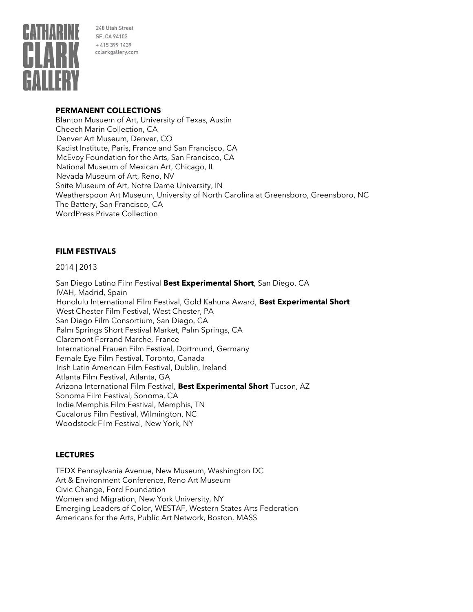

#### **PERMANENT COLLECTIONS**

Blanton Musuem of Art, University of Texas, Austin Cheech Marin Collection, CA Denver Art Museum, Denver, CO Kadist Institute, Paris, France and San Francisco, CA McEvoy Foundation for the Arts, San Francisco, CA National Museum of Mexican Art, Chicago, IL Nevada Museum of Art, Reno, NV Snite Museum of Art, Notre Dame University, IN Weatherspoon Art Museum, University of North Carolina at Greensboro, Greensboro, NC The Battery, San Francisco, CA WordPress Private Collection

#### **FILM FESTIVALS**

2014 | 2013

San Diego Latino Film Festival **Best Experimental Short**, San Diego, CA IVAH, Madrid, Spain Honolulu International Film Festival, Gold Kahuna Award, **Best Experimental Short** West Chester Film Festival, West Chester, PA San Diego Film Consortium, San Diego, CA Palm Springs Short Festival Market, Palm Springs, CA Claremont Ferrand Marche, France International Frauen Film Festival, Dortmund, Germany Female Eye Film Festival, Toronto, Canada Irish Latin American Film Festival, Dublin, Ireland Atlanta Film Festival, Atlanta, GA Arizona International Film Festival, **Best Experimental Short** Tucson, AZ Sonoma Film Festival, Sonoma, CA Indie Memphis Film Festival, Memphis, TN Cucalorus Film Festival, Wilmington, NC Woodstock Film Festival, New York, NY

### **LECTURES**

TEDX Pennsylvania Avenue, New Museum, Washington DC Art & Environment Conference, Reno Art Museum Civic Change, Ford Foundation Women and Migration, New York University, NY Emerging Leaders of Color, WESTAF, Western States Arts Federation Americans for the Arts, Public Art Network, Boston, MASS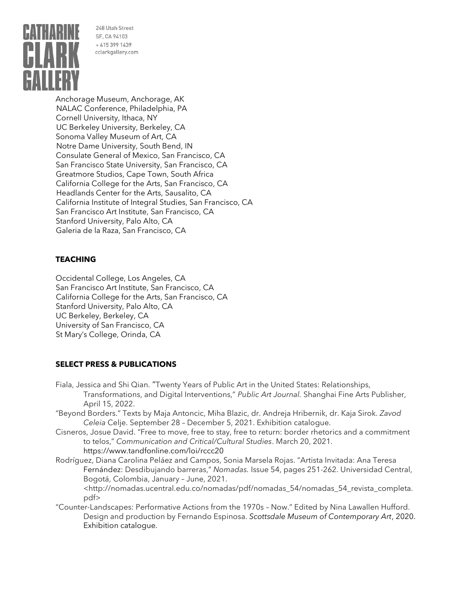

Anchorage Museum, Anchorage, AK NALAC Conference, Philadelphia, PA Cornell University, Ithaca, NY UC Berkeley University, Berkeley, CA Sonoma Valley Museum of Art, CA Notre Dame University, South Bend, IN Consulate General of Mexico, San Francisco, CA San Francisco State University, San Francisco, CA Greatmore Studios, Cape Town, South Africa California College for the Arts, San Francisco, CA Headlands Center for the Arts, Sausalito, CA California Institute of Integral Studies, San Francisco, CA San Francisco Art Institute, San Francisco, CA Stanford University, Palo Alto, CA Galeria de la Raza, San Francisco, CA

# **TEACHING**

Occidental College, Los Angeles, CA San Francisco Art Institute, San Francisco, CA California College for the Arts, San Francisco, CA Stanford University, Palo Alto, CA UC Berkeley, Berkeley, CA University of San Francisco, CA St Mary's College, Orinda, CA

### **SELECT PRESS & PUBLICATIONS**

- Fiala, Jessica and Shi Qian. "Twenty Years of Public Art in the United States: Relationships, Transformations, and Digital Interventions," *Public Art Journal.* Shanghai Fine Arts Publisher, April 15, 2022.
- "Beyond Borders." Texts by Maja Antoncic, Miha Blazic, dr. Andreja Hribernik, dr. Kaja Sirok. *Zavod Celeia* Celje. September 28 – December 5, 2021. Exhibition catalogue.
- Cisneros, Josue David. "Free to move, free to stay, free to return: border rhetorics and a commitment to telos," *Communication and Critical/Cultural Studies*. March 20, 2021. <https://www.tandfonline.com/loi/rccc20>
- Rodríguez, Diana Carolina Peláez and Campos, Sonia Marsela Rojas. "Artista Invitada: Ana Teresa Fernández: Desdibujando barreras," *Nomadas.* Issue 54, pages 251-262. Universidad Central, Bogotá, Colombia, January – June, 2021.

<http://nomadas.ucentral.edu.co/nomadas/pdf/nomadas\_54/nomadas\_54\_revista\_completa. pdf>

"Counter-Landscapes: Performative Actions from the 1970s – Now." Edited by Nina Lawallen Hufford. Design and production by Fernando Espinosa. *Scottsdale Museum of Contemporary Art*, 2020. Exhibition catalogue.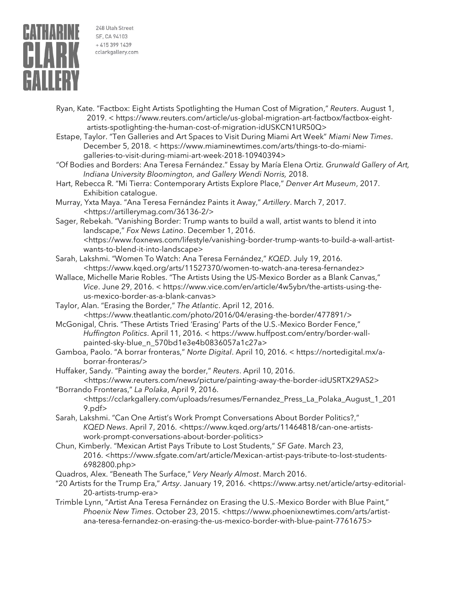

- Ryan, Kate. "Factbox: Eight Artists Spotlighting the Human Cost of Migration," *Reuters*. August 1, 2019. < https://www.reuters.com/article/us-global-migration-art-factbox/factbox-eightartists-spotlighting-the-human-cost-of-migration-idUSKCN1UR50Q>
- Estape, Taylor. "Ten Galleries and Art Spaces to Visit During Miami Art Week" *Miami New Times*. December 5, 2018. < https://www.miaminewtimes.com/arts/things-to-do-miamigalleries-to-visit-during-miami-art-week-2018-10940394>
- "Of Bodies and Borders: Ana Teresa Fernández." Essay by María Elena Ortiz. *Grunwald Gallery of Art, Indiana University Bloomington, and Gallery Wendi Norris,* 2018.
- Hart, Rebecca R. "Mi Tierra: Contemporary Artists Explore Place," *Denver Art Museum*, 2017. Exhibition catalogue.
- Murray, Yxta Maya. "Ana Teresa Fernández Paints it Away," *Artillery*. March 7, 2017. <https://artillerymag.com/36136-2/>
- Sager, Rebekah. "Vanishing Border: Trump wants to build a wall, artist wants to blend it into landscape," *Fox News Latino*. December 1, 2016. <https://www.foxnews.com/lifestyle/vanishing-border-trump-wants-to-build-a-wall-artistwants-to-blend-it-into-landscape>
- Sarah, Lakshmi. "Women To Watch: Ana Teresa Fernández," *KQED*. July 19, 2016. <https://www.kqed.org/arts/11527370/women-to-watch-ana-teresa-fernandez>
- Wallace, Michelle Marie Robles. "The Artists Using the US-Mexico Border as a Blank Canvas," *Vice*. June 29, 2016. < https://www.vice.com/en/article/4w5ybn/the-artists-using-theus-mexico-border-as-a-blank-canvas>
- Taylor, Alan. "Erasing the Border," *The Atlantic*. April 12, 2016. <https://www.theatlantic.com/photo/2016/04/erasing-the-border/477891/>
- McGonigal, Chris. "These Artists Tried 'Erasing' Parts of the U.S.-Mexico Border Fence," *Huffington Politics*. April 11, 2016. < https://www.huffpost.com/entry/border-wallpainted-sky-blue\_n\_570bd1e3e4b0836057a1c27a>
- Gamboa, Paolo. "A borrar fronteras," *Norte Digital*. April 10, 2016. < https://nortedigital.mx/aborrar-fronteras/>
- Huffaker, Sandy. "Painting away the border," *Reuters*. April 10, 2016. <https://www.reuters.com/news/picture/painting-away-the-border-idUSRTX29AS2>
- "Borrando Fronteras," *La Polaka*, April 9, 2016. <https://cclarkgallery.com/uploads/resumes/Fernandez\_Press\_La\_Polaka\_August\_1\_201 9.pdf>
- Sarah, Lakshmi. "Can One Artist's Work Prompt Conversations About Border Politics?," KQED News. April 7, 2016. <https://www.kqed.org/arts/11464818/can-one-artistswork-prompt-conversations-about-border-politics>
- Chun, Kimberly. "Mexican Artist Pays Tribute to Lost Students," *SF Gate*. March 23, 2016. <https://www.sfgate.com/art/article/Mexican-artist-pays-tribute-to-lost-students-6982800.php>
- Quadros, Alex. "Beneath The Surface," *Very Nearly Almost*. March 2016.
- "20 Artists for the Trump Era," *Artsy*. January 19, 2016. <https://www.artsy.net/article/artsy-editorial-20-artists-trump-era>
- Trimble Lynn, "Artist Ana Teresa Fernández on Erasing the U.S.-Mexico Border with Blue Paint," *Phoenix New Times*. October 23, 2015. [<https://www.phoenixnewtimes.com/arts/artist](https://www.phoenixnewtimes.com/arts/artist-ana-teresa-fernandez-on-erasing-the-us-mexico-border-with-blue-paint-7761675)[ana-teresa-fernandez-on-erasing-the-us-mexico-border-with-blue-paint-7761675>](https://www.phoenixnewtimes.com/arts/artist-ana-teresa-fernandez-on-erasing-the-us-mexico-border-with-blue-paint-7761675)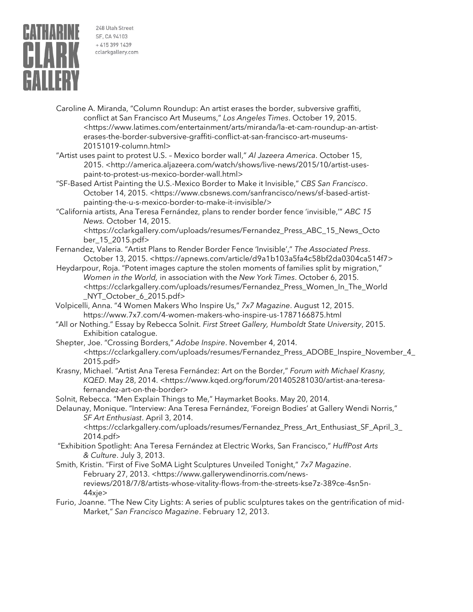

- Caroline A. Miranda, "Column Roundup: An artist erases the border, subversive graffiti, conflict at San Francisco Art Museums," *Los Angeles Times*. October 19, 2015. <https://www.latimes.com/entertainment/arts/miranda/la-et-cam-roundup-an-artisterases-the-border-subversive-graffiti-conflict-at-san-francisco-art-museums-20151019-column.html>
- "Artist uses paint to protest U.S. Mexico border wall," *Al Jazeera America*. October 15, 2015. <http://america.aljazeera.com/watch/shows/live-news/2015/10/artist-usespaint-to-protest-us-mexico-border-wall.html>
- "SF-Based Artist Painting the U.S.-Mexico Border to Make it Invisible," *CBS San Francisco*. October 14, 2015. <https://www.cbsnews.com/sanfrancisco/news/sf-based-artistpainting-the-u-s-mexico-border-to-make-it-invisible/>
- "California artists, Ana Teresa Fernández, plans to render border fence 'invisible,'" *ABC 15 News.* October 14, 2015.

<https://cclarkgallery.com/uploads/resumes/Fernandez\_Press\_ABC\_15\_News\_Octo ber\_15\_2015.pdf>

- Fernandez, Valeria. "Artist Plans to Render Border Fence 'Invisible'," *The Associated Press*. October 13, 2015. <https://apnews.com/article/d9a1b103a5fa4c58bf2da0304ca514f7>
- Heydarpour, Roja. "Potent images capture the stolen moments of families split by migration," *Women in the World,* in association with the *New York Times*. October 6, 2015. <https://cclarkgallery.com/uploads/resumes/Fernandez\_Press\_Women\_In\_The\_World \_NYT\_October\_6\_2015.pdf>
- Volpicelli, Anna. "4 Women Makers Who Inspire Us," *7x7 Magazine*. August 12, 2015. <https://www.7x7.com/4-women-makers-who-inspire-us-1787166875.html>
- "All or Nothing." Essay by Rebecca Solnit. *First Street Gallery, Humboldt State University*, 2015. Exhibition catalogue.

Shepter, Joe. "Crossing Borders," *Adobe Inspire*. November 4, 2014. <https://cclarkgallery.com/uploads/resumes/Fernandez\_Press\_ADOBE\_Inspire\_November\_4\_ 2015.pdf>

Krasny, Michael. "Artist Ana Teresa Fernández: Art on the Border," *Forum with Michael Krasny, KQED*. May 28, 2014. <https://www.kqed.org/forum/201405281030/artist-ana-teresafernandez-art-on-the-border>

Solnit, Rebecca. "Men Explain Things to Me," Haymarket Books. May 20, 2014.

Delaunay, Monique. "Interview: Ana Teresa Fernández, 'Foreign Bodies' at Gallery Wendi Norris," *SF Art Enthusiast*. April 3, 2014.

<https://cclarkgallery.com/uploads/resumes/Fernandez\_Press\_Art\_Enthusiast\_SF\_April\_3\_ 2014.pdf>

- "Exhibition Spotlight: Ana Teresa Fernández at Electric Works, San Francisco," *HuffPost Arts & Culture*. July 3, 2013.
- Smith, Kristin. "First of Five SoMA Light Sculptures Unveiled Tonight," *7x7 Magazine*. February 27, 2013. <https://www.gallerywendinorris.com/newsreviews/2018/7/8/artists-whose-vitality-flows-from-the-streets-kse7z-389ce-4sn5n-44xje>
- Furio, Joanne. "The New City Lights: A series of public sculptures takes on the gentrification of mid-Market," *San Francisco Magazine*. February 12, 2013.